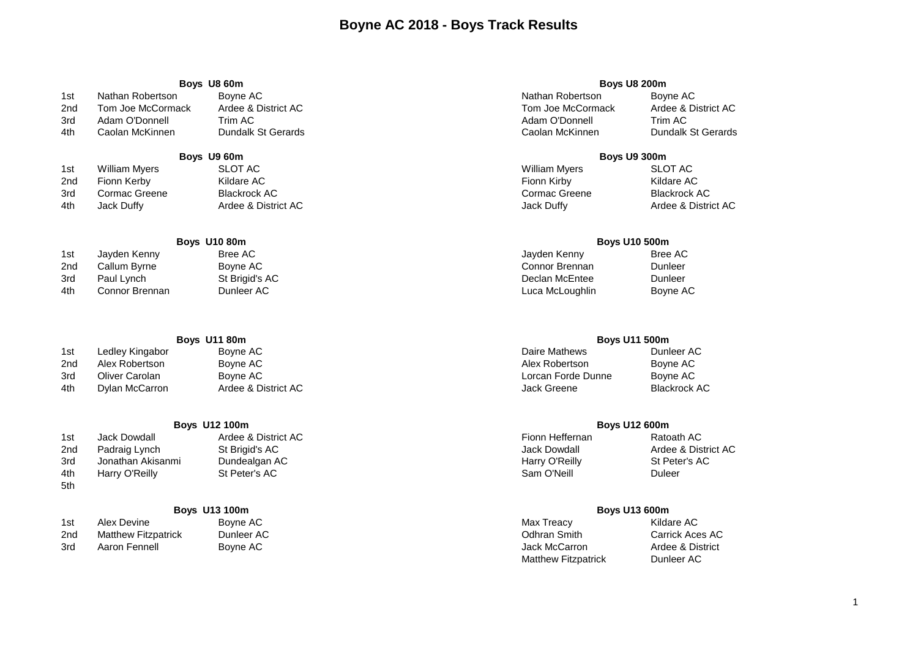# **Boyne AC 2018 - Boys Track Results**

| Boys U8 60m |                   |                     | <b>Boys U8 200m</b> |                     |
|-------------|-------------------|---------------------|---------------------|---------------------|
| 1st         | Nathan Robertson  | Bovne AC            | Nathan Robertson    | Boyne AC            |
| 2nd         | Tom Joe McCormack | Ardee & District AC | Tom Joe McCormack   | Ardee & District AC |
| - -         |                   |                     |                     |                     |

4th Caolan McKinnen Dundalk St Gerards Caolan McKinnen Dundalk St Gerards

## **Boys U9 60m Boys U9 300m**

| 1st | William Myers | SLOT AC             | <b>William Myers</b> | <b>SLOT AC</b>      |
|-----|---------------|---------------------|----------------------|---------------------|
| 2nd | Fionn Kerby   | Kildare AC          | Fionn Kirby          | Kildare AC          |
| 3rd | Cormac Greene | Blackrock AC        | Cormac Greene        | Blackrock AC        |
| 4th | Jack Duffy    | Ardee & District AC | Jack Duffy           | Ardee & District AC |
|     |               |                     |                      |                     |

| 1st | Jayden Kenny   | Bree AC        | Jayden Kenny    | Bree AC  |
|-----|----------------|----------------|-----------------|----------|
| 2nd | Callum Byrne   | Bovne AC       | Connor Brennan  | Dunleer  |
| 3rd | Paul Lynch     | St Brigid's AC | Declan McEntee  | Dunleer  |
| 4th | Connor Brennan | Dunleer AC     | Luca McLoughlin | Boyne AC |

| 1st | Ledley Kingabor | Boyne AC            | Daire Mathews      | Dunleer AC   |
|-----|-----------------|---------------------|--------------------|--------------|
| 2nd | Alex Robertson  | Boyne AC            | Alex Robertson     | Bovne AC     |
| 3rd | Oliver Carolan  | Boyne AC            | Lorcan Forde Dunne | Bovne AC     |
| 4th | Dylan McCarron  | Ardee & District AC | Jack Greene        | Blackrock AC |

| <b>Boys U12 100m</b> |                   |                     | <b>Boys U12 600m</b> |               |
|----------------------|-------------------|---------------------|----------------------|---------------|
| 1st                  | Jack Dowdall      | Ardee & District AC | Fionn Heffernan      | Ratoath AC    |
| 2nd                  | Padraig Lynch     | St Brigid's AC      | Jack Dowdall         | Ardee & Distr |
| 3rd                  | Jonathan Akisanmi | Dundealgan AC       | Harry O'Reilly       | St Peter's AC |
| 4th                  | Harry O'Reilly    | St Peter's AC       | Sam O'Neill          | Duleer        |
| 5th                  |                   |                     |                      |               |

| 1st | Alex Devine                | Boyne AC    | Max Treacy    | Kildare AC       |
|-----|----------------------------|-------------|---------------|------------------|
| 2nd | <b>Matthew Fitzpatrick</b> | Dunleer AC_ | Odhran Smith  | Carrick Aces AC  |
| 3rd | Aaron Fennell              | Boyne AC    | Jack McCarron | Ardee & District |

| Nathan Robertson  | Boyne AC            | Nathan Robertson  | Boyne A |
|-------------------|---------------------|-------------------|---------|
| Tom Joe McCormack | Ardee & District AC | Tom Joe McCormack | Ardee & |
| Adam O'Donnell    | Trim AC.            | Adam O'Donnell    | Trim AC |
| Caolan McKinnen.  | Dundalk St Gerards  | Caolan McKinnen   | Dundalk |
|                   |                     |                   |         |

## **Boys U10 80m Boys U10 500m**

## **Boys U11 80m Boys U11 500m**

| Fionn Heffernan | Ratoath AC          |
|-----------------|---------------------|
| Jack Dowdall    | Ardee & District AC |
| Harry O'Reilly  | St Peter's AC       |
| Sam O'Neill     | Duleer              |

| <b>Boys U13 100m</b> |            | <b>Boys U13 600m</b>       |             |
|----------------------|------------|----------------------------|-------------|
|                      | Boyne AC   | Max Treacy                 | Kildare AC  |
| ick                  | Dunleer AC | Odhran Smith               | Carrick Ace |
|                      | Bovne AC   | Jack McCarron              | Ardee & Dis |
|                      |            | <b>Matthew Fitzpatrick</b> | Dunleer AC  |